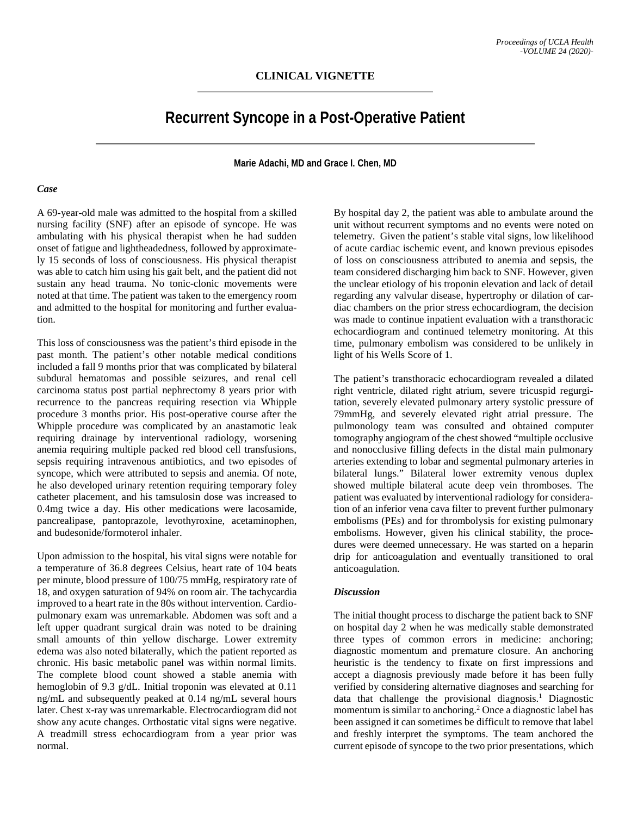## **Recurrent Syncope in a Post-Operative Patient**

**Marie Adachi, MD and Grace I. Chen, MD**

## *Case*

A 69-year-old male was admitted to the hospital from a skilled nursing facility (SNF) after an episode of syncope. He was ambulating with his physical therapist when he had sudden onset of fatigue and lightheadedness, followed by approximately 15 seconds of loss of consciousness. His physical therapist was able to catch him using his gait belt, and the patient did not sustain any head trauma. No tonic-clonic movements were noted at that time. The patient was taken to the emergency room and admitted to the hospital for monitoring and further evaluation.

This loss of consciousness was the patient's third episode in the past month. The patient's other notable medical conditions included a fall 9 months prior that was complicated by bilateral subdural hematomas and possible seizures, and renal cell carcinoma status post partial nephrectomy 8 years prior with recurrence to the pancreas requiring resection via Whipple procedure 3 months prior. His post-operative course after the Whipple procedure was complicated by an anastamotic leak requiring drainage by interventional radiology, worsening anemia requiring multiple packed red blood cell transfusions, sepsis requiring intravenous antibiotics, and two episodes of syncope, which were attributed to sepsis and anemia. Of note, he also developed urinary retention requiring temporary foley catheter placement, and his tamsulosin dose was increased to 0.4mg twice a day. His other medications were lacosamide, pancrealipase, pantoprazole, levothyroxine, acetaminophen, and budesonide/formoterol inhaler.

Upon admission to the hospital, his vital signs were notable for a temperature of 36.8 degrees Celsius, heart rate of 104 beats per minute, blood pressure of 100/75 mmHg, respiratory rate of 18, and oxygen saturation of 94% on room air. The tachycardia improved to a heart rate in the 80s without intervention. Cardiopulmonary exam was unremarkable. Abdomen was soft and a left upper quadrant surgical drain was noted to be draining small amounts of thin yellow discharge. Lower extremity edema was also noted bilaterally, which the patient reported as chronic. His basic metabolic panel was within normal limits. The complete blood count showed a stable anemia with hemoglobin of 9.3 g/dL. Initial troponin was elevated at 0.11 ng/mL and subsequently peaked at 0.14 ng/mL several hours later. Chest x-ray was unremarkable. Electrocardiogram did not show any acute changes. Orthostatic vital signs were negative. A treadmill stress echocardiogram from a year prior was normal.

By hospital day 2, the patient was able to ambulate around the unit without recurrent symptoms and no events were noted on telemetry. Given the patient's stable vital signs, low likelihood of acute cardiac ischemic event, and known previous episodes of loss on consciousness attributed to anemia and sepsis, the team considered discharging him back to SNF. However, given the unclear etiology of his troponin elevation and lack of detail regarding any valvular disease, hypertrophy or dilation of cardiac chambers on the prior stress echocardiogram, the decision was made to continue inpatient evaluation with a transthoracic echocardiogram and continued telemetry monitoring. At this time, pulmonary embolism was considered to be unlikely in light of his Wells Score of 1.

The patient's transthoracic echocardiogram revealed a dilated right ventricle, dilated right atrium, severe tricuspid regurgitation, severely elevated pulmonary artery systolic pressure of 79mmHg, and severely elevated right atrial pressure. The pulmonology team was consulted and obtained computer tomography angiogram of the chest showed "multiple occlusive and nonocclusive filling defects in the distal main pulmonary arteries extending to lobar and segmental pulmonary arteries in bilateral lungs." Bilateral lower extremity venous duplex showed multiple bilateral acute deep vein thromboses. The patient was evaluated by interventional radiology for consideration of an inferior vena cava filter to prevent further pulmonary embolisms (PEs) and for thrombolysis for existing pulmonary embolisms. However, given his clinical stability, the procedures were deemed unnecessary. He was started on a heparin drip for anticoagulation and eventually transitioned to oral anticoagulation.

## *Discussion*

The initial thought process to discharge the patient back to SNF on hospital day 2 when he was medically stable demonstrated three types of common errors in medicine: anchoring; diagnostic momentum and premature closure. An anchoring heuristic is the tendency to fixate on first impressions and accept a diagnosis previously made before it has been fully verified by considering alternative diagnoses and searching for data that challenge the provisional diagnosis. <sup>1</sup> Diagnostic momentum is similar to anchoring.<sup>2</sup> Once a diagnostic label has been assigned it can sometimes be difficult to remove that label and freshly interpret the symptoms. The team anchored the current episode of syncope to the two prior presentations, which